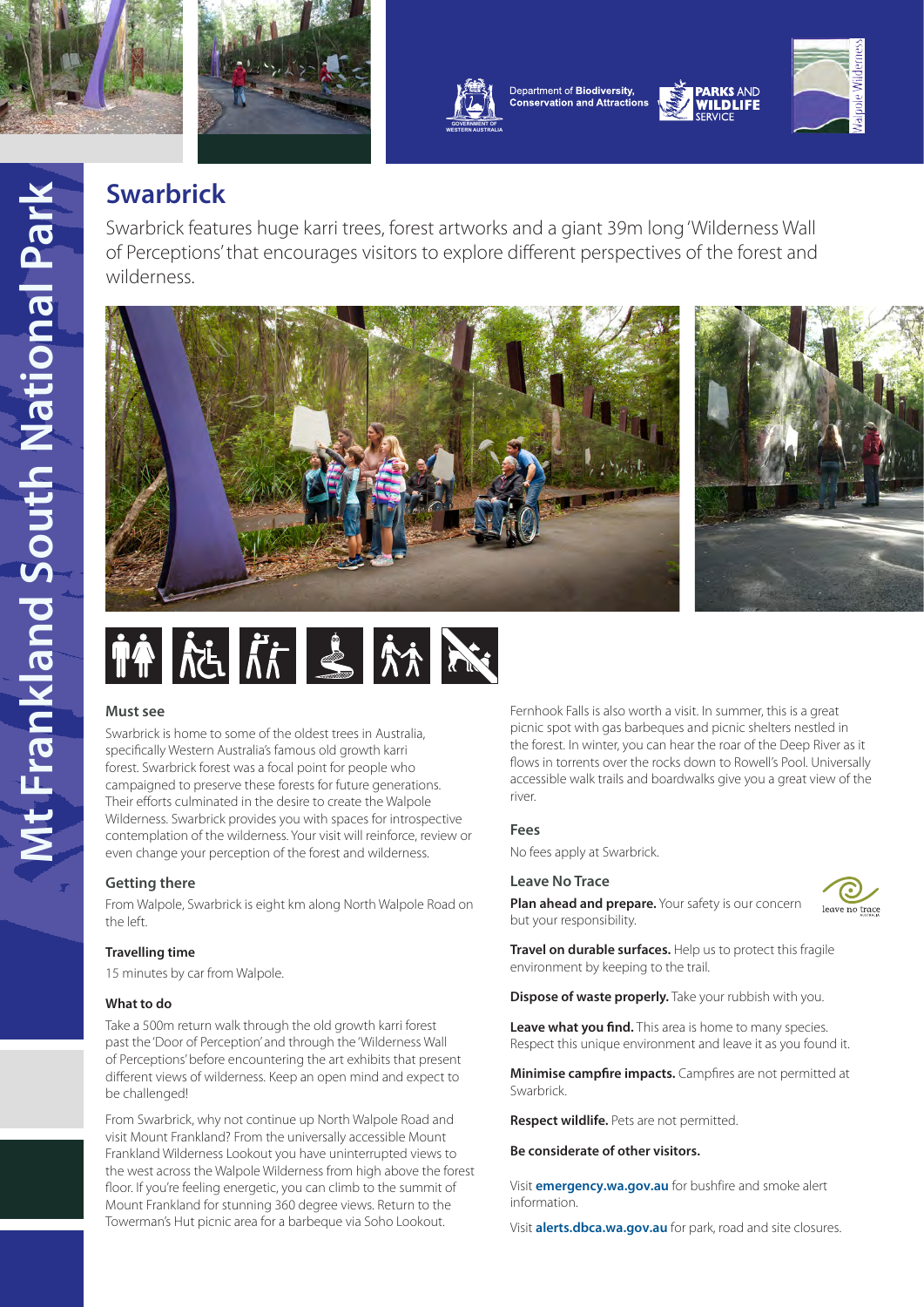





Department of Biodiversity, **Conservation and Attractions** 



# **Swarbrick**

Swarbrick features huge karri trees, forest artworks and a giant 39m long 'Wilderness Wall of Perceptions' that encourages visitors to explore different perspectives of the forest and wilderness.



$$
\|\hat{\mathbf{f}}\|_{\mathcal{M}} \leq \|\hat{\mathbf{f}}\|_{\mathcal{M}} \leq \|\hat{\mathbf{f}}\|_{\mathcal{M}}
$$

# **Must see**

Swarbrick is home to some of the oldest trees in Australia, specifically Western Australia's famous old growth karri forest. Swarbrick forest was a focal point for people who campaigned to preserve these forests for future generations. Their efforts culminated in the desire to create the Walpole Wilderness. Swarbrick provides you with spaces for introspective contemplation of the wilderness. Your visit will reinforce, review or even change your perception of the forest and wilderness.

# **Getting there**

From Walpole, Swarbrick is eight km along North Walpole Road on the left.

#### **Travelling time**

15 minutes by car from Walpole.

#### **What to do**

Take a 500m return walk through the old growth karri forest past the 'Door of Perception' and through the 'Wilderness Wall of Perceptions' before encountering the art exhibits that present different views of wilderness. Keep an open mind and expect to be challenged!

From Swarbrick, why not continue up North Walpole Road and visit Mount Frankland? From the universally accessible Mount Frankland Wilderness Lookout you have uninterrupted views to the west across the Walpole Wilderness from high above the forest floor. If you're feeling energetic, you can climb to the summit of Mount Frankland for stunning 360 degree views. Return to the Towerman's Hut picnic area for a barbeque via Soho Lookout.

Fernhook Falls is also worth a visit. In summer, this is a great picnic spot with gas barbeques and picnic shelters nestled in the forest. In winter, you can hear the roar of the Deep River as it flows in torrents over the rocks down to Rowell's Pool. Universally accessible walk trails and boardwalks give you a great view of the river.

# **Fees**

No fees apply at Swarbrick.

#### **Leave No Trace**



**Plan ahead and prepare.** Your safety is our concern but your responsibility.

**Travel on durable surfaces.** Help us to protect this fragile environment by keeping to the trail.

**Dispose of waste properly.** Take your rubbish with you.

**Leave what you find.** This area is home to many species. Respect this unique environment and leave it as you found it.

**Minimise campfire impacts.** Campfires are not permitted at Swarbrick.

**Respect wildlife.** Pets are not permitted.

### **Be considerate of other visitors.**

Visit **[emergency.wa.gov.au](https://www.emergency.wa.gov.au/)** for bushfire and smoke alert information.

Visit **[alerts.dbca.wa.gov.au](https://alerts.dbca.wa.gov.au/)** for park, road and site closures.